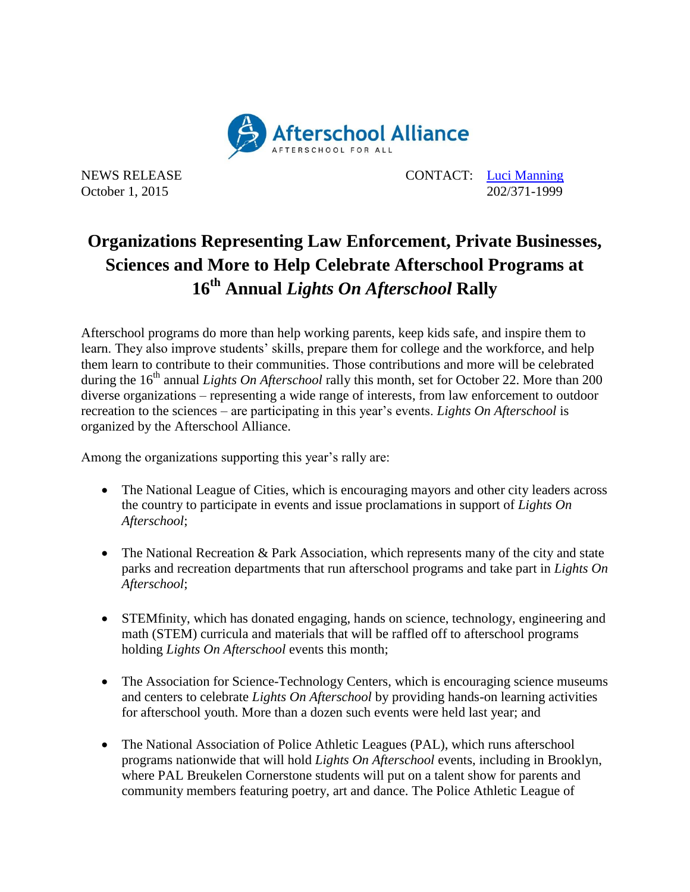

NEWS RELEASE CONTACT: [Luci Manning](mailto:luci@prsolutionsdc.com) October 1, 2015 202/371-1999

## **Organizations Representing Law Enforcement, Private Businesses, Sciences and More to Help Celebrate Afterschool Programs at 16 th Annual** *Lights On Afterschool* **Rally**

Afterschool programs do more than help working parents, keep kids safe, and inspire them to learn. They also improve students' skills, prepare them for college and the workforce, and help them learn to contribute to their communities. Those contributions and more will be celebrated during the 16<sup>th</sup> annual *Lights On Afterschool* rally this month, set for October 22. More than 200 diverse organizations – representing a wide range of interests, from law enforcement to outdoor recreation to the sciences – are participating in this year's events. *Lights On Afterschool* is organized by the Afterschool Alliance.

Among the organizations supporting this year's rally are:

- The National League of Cities, which is encouraging mayors and other city leaders across the country to participate in events and issue proclamations in support of *Lights On Afterschool*;
- The National Recreation & Park Association, which represents many of the city and state parks and recreation departments that run afterschool programs and take part in *Lights On Afterschool*;
- STEMfinity, which has donated engaging, hands on science, technology, engineering and math (STEM) curricula and materials that will be raffled off to afterschool programs holding *Lights On Afterschool* events this month;
- The Association for Science-Technology Centers, which is encouraging science museums and centers to celebrate *Lights On Afterschool* by providing hands-on learning activities for afterschool youth. More than a dozen such events were held last year; and
- The National Association of Police Athletic Leagues (PAL), which runs afterschool programs nationwide that will hold *Lights On Afterschool* events, including in Brooklyn, where PAL Breukelen Cornerstone students will put on a talent show for parents and community members featuring poetry, art and dance. The Police Athletic League of